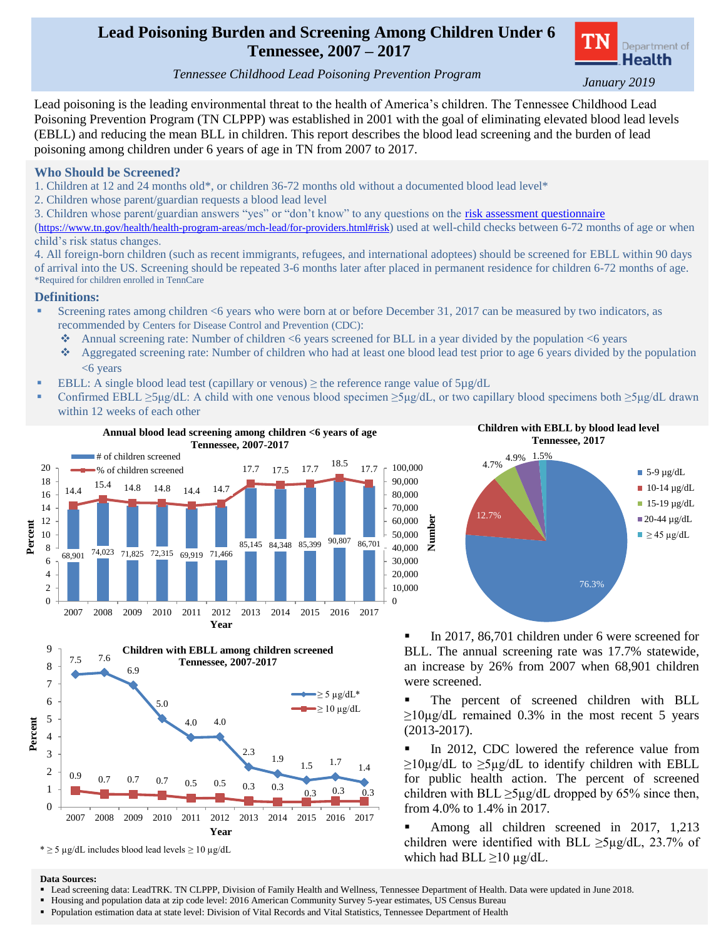## **Lead Poisoning Burden and Screening Among Children Under 6 Tennessee, 2007 – 2017**



 *Tennessee Childhood Lead Poisoning Prevention Program January 2019*

Lead poisoning is the leading environmental threat to the health of America's children. The Tennessee Childhood Lead Poisoning Prevention Program (TN CLPPP) was established in 2001 with the goal of eliminating elevated blood lead levels (EBLL) and reducing the mean BLL in children. This report describes the blood lead screening and the burden of lead poisoning among children under 6 years of age in TN from 2007 to 2017.

### **Who Should be Screened?**

1. Children at 12 and 24 months old\*, or children 36-72 months old without a documented blood lead level\*

- 2. Children whose parent/guardian requests a blood lead level
- 3. Children whose parent/guardian answers "yes" or "don't know" to any questions on the [risk assessment questionnaire](https://www.tn.gov/health/health-program-areas/mch-lead/for-providers.html#risk)

(<https://www.tn.gov/health/health-program-areas/mch-lead/for-providers.html#risk>) used at well-child checks between 6-72 months of age or when child's risk status changes.

4. All foreign-born children (such as recent immigrants, refugees, and international adoptees) should be screened for EBLL within 90 days of arrival into the US. Screening should be repeated 3-6 months later after placed in permanent residence for children 6-72 months of age. \*Required for children enrolled in TennCare

### **Definitions:**

- Screening rates among children <6 years who were born at or before December 31, 2017 can be measured by two indicators, as recommended by Centers for Disease Control and Prevention (CDC):
	- Annual screening rate: Number of children <6 years screened for BLL in a year divided by the population <6 years
	- Aggregated screening rate: Number of children who had at least one blood lead test prior to age 6 years divided by the population <6 years
- EBLL: A single blood lead test (capillary or venous)  $\geq$  the reference range value of  $5\mu g/dL$
- Confirmed EBLL  $\geq$ 5μg/dL: A child with one venous blood specimen  $\geq$ 5μg/dL, or two capillary blood specimens both  $\geq$ 5μg/dL drawn within 12 weeks of each other





\* ≥ 5 µg/dL includes blood lead levels ≥ 10 µg/dL



In 2017, 86,701 children under 6 were screened for BLL. The annual screening rate was 17.7% statewide, an increase by 26% from 2007 when 68,901 children were screened.

 The percent of screened children with BLL  $\geq$ 10µg/dL remained 0.3% in the most recent 5 years (2013-2017).

 In 2012, CDC lowered the reference value from  $\geq$ 10µg/dL to  $\geq$ 5µg/dL to identify children with EBLL for public health action. The percent of screened children with BLL  $\geq$ 5µg/dL dropped by 65% since then, from 4.0% to 1.4% in 2017.

 Among all children screened in 2017, 1,213 children were identified with BLL  $\geq$ 5µg/dL, 23.7% of which had BLL  $\geq$ 10 µg/dL.

#### **Data Sources:**

- Lead screening data: LeadTRK. TN CLPPP, Division of Family Health and Wellness, Tennessee Department of Health. Data were updated in June 2018.
- Housing and population data at zip code level: 2016 American Community Survey 5-year estimates, US Census Bureau
- Population estimation data at state level: Division of Vital Records and Vital Statistics, Tennessee Department of Health